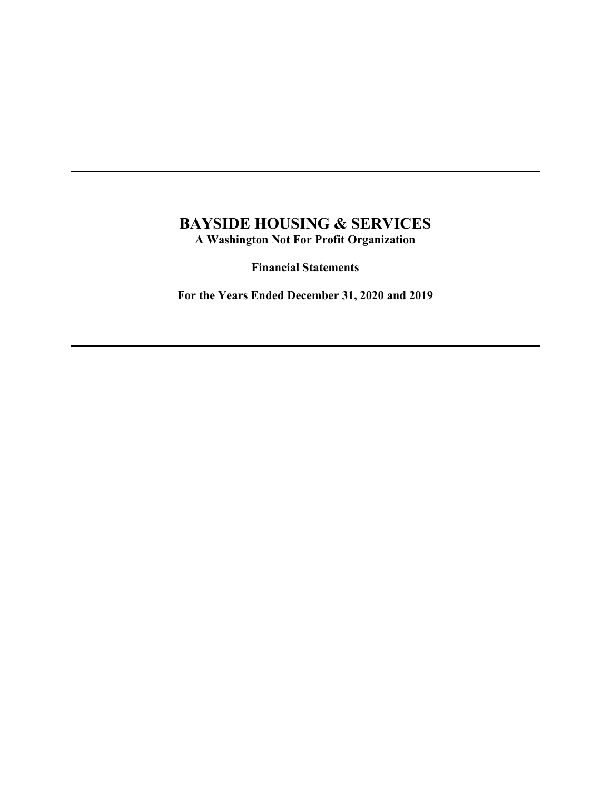# **BAYSIDE HOUSING & SERVICES A Washington Not For Profit Organization**

**Financial Statements** 

**For the Years Ended December 31, 2020 and 2019**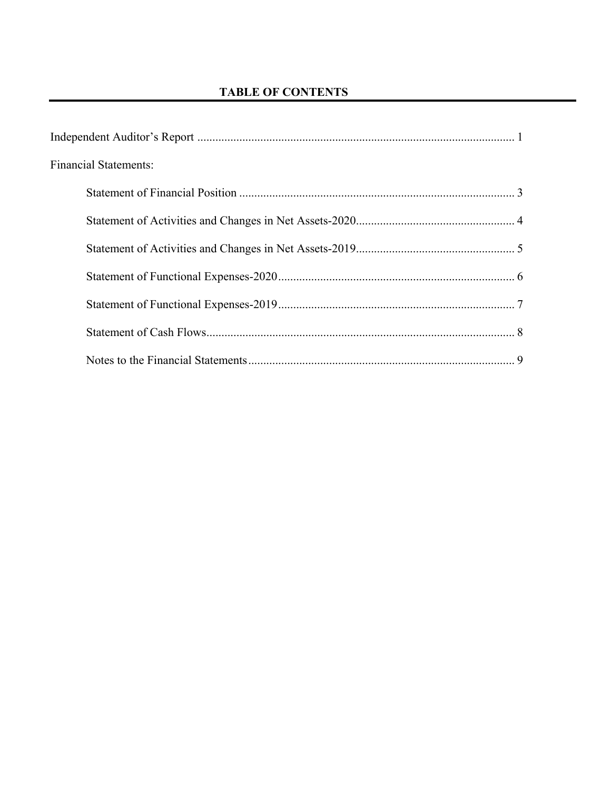| <b>Financial Statements:</b> |  |
|------------------------------|--|
|                              |  |
|                              |  |
|                              |  |
|                              |  |
|                              |  |
|                              |  |
|                              |  |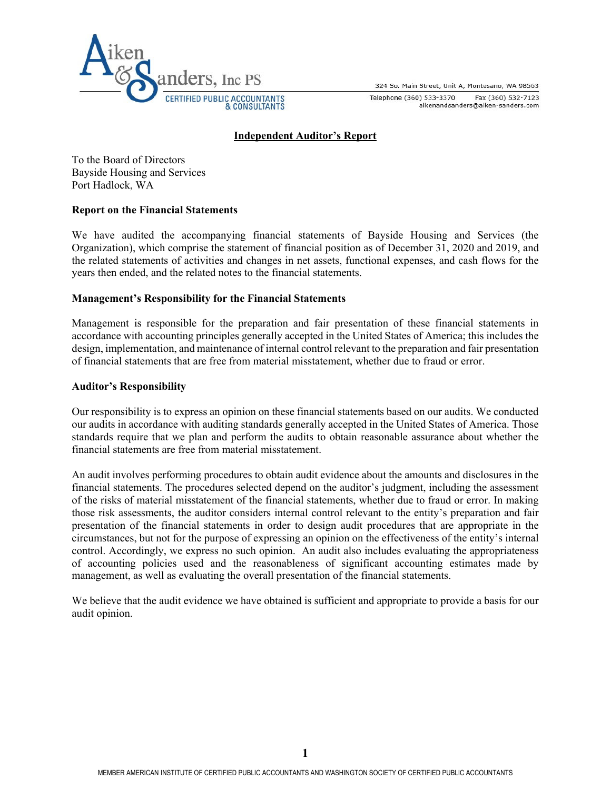324 So. Main Street, Unit A, Montesano, WA 98563



Telephone (360) 533-3370 Fax (360) 532-7123 aikenandsanders@aiken-sanders.com

#### **Independent Auditor's Report**

To the Board of Directors Bayside Housing and Services Port Hadlock, WA

#### **Report on the Financial Statements**

We have audited the accompanying financial statements of Bayside Housing and Services (the Organization), which comprise the statement of financial position as of December 31, 2020 and 2019, and the related statements of activities and changes in net assets, functional expenses, and cash flows for the years then ended, and the related notes to the financial statements.

#### **Management's Responsibility for the Financial Statements**

Management is responsible for the preparation and fair presentation of these financial statements in accordance with accounting principles generally accepted in the United States of America; this includes the design, implementation, and maintenance of internal control relevant to the preparation and fair presentation of financial statements that are free from material misstatement, whether due to fraud or error.

#### **Auditor's Responsibility**

Our responsibility is to express an opinion on these financial statements based on our audits. We conducted our audits in accordance with auditing standards generally accepted in the United States of America. Those standards require that we plan and perform the audits to obtain reasonable assurance about whether the financial statements are free from material misstatement.

An audit involves performing procedures to obtain audit evidence about the amounts and disclosures in the financial statements. The procedures selected depend on the auditor's judgment, including the assessment of the risks of material misstatement of the financial statements, whether due to fraud or error. In making those risk assessments, the auditor considers internal control relevant to the entity's preparation and fair presentation of the financial statements in order to design audit procedures that are appropriate in the circumstances, but not for the purpose of expressing an opinion on the effectiveness of the entity's internal control. Accordingly, we express no such opinion. An audit also includes evaluating the appropriateness of accounting policies used and the reasonableness of significant accounting estimates made by management, as well as evaluating the overall presentation of the financial statements.

We believe that the audit evidence we have obtained is sufficient and appropriate to provide a basis for our audit opinion.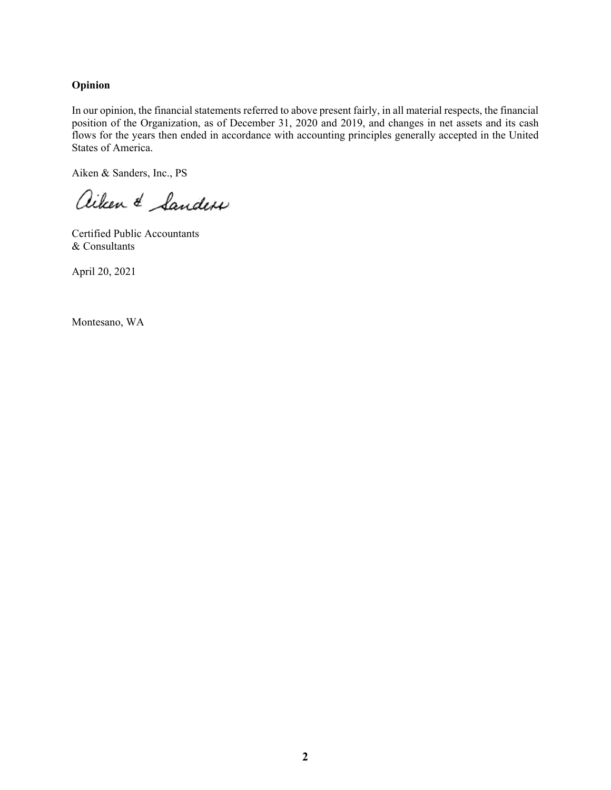#### **Opinion**

In our opinion, the financial statements referred to above present fairly, in all material respects, the financial position of the Organization, as of December 31, 2020 and 2019, and changes in net assets and its cash flows for the years then ended in accordance with accounting principles generally accepted in the United States of America.

Aiken & Sanders, Inc., PS

aiken & Sanders

Certified Public Accountants & Consultants

April 20, 2021

Montesano, WA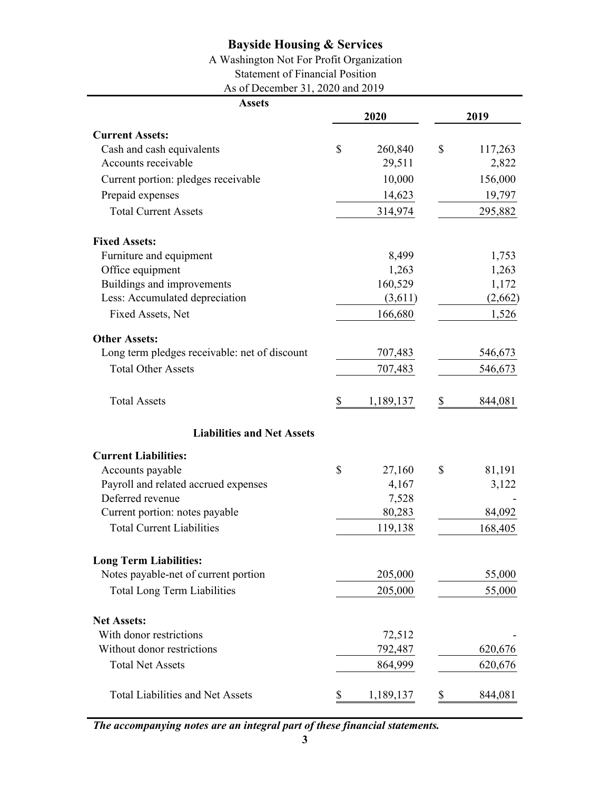## A Washington Not For Profit Organization

Statement of Financial Position

As of December 31, 2020 and 2019

| <b>Assets</b>                                 |                 |    |         |
|-----------------------------------------------|-----------------|----|---------|
|                                               | 2020            |    | 2019    |
| <b>Current Assets:</b>                        |                 |    |         |
| Cash and cash equivalents                     | \$<br>260,840   | \$ | 117,263 |
| Accounts receivable                           | 29,511          |    | 2,822   |
| Current portion: pledges receivable           | 10,000          |    | 156,000 |
| Prepaid expenses                              | 14,623          |    | 19,797  |
| <b>Total Current Assets</b>                   | 314,974         |    | 295,882 |
| <b>Fixed Assets:</b>                          |                 |    |         |
| Furniture and equipment                       | 8,499           |    | 1,753   |
| Office equipment                              | 1,263           |    | 1,263   |
| Buildings and improvements                    | 160,529         |    | 1,172   |
| Less: Accumulated depreciation                | (3,611)         |    | (2,662) |
| Fixed Assets, Net                             | 166,680         |    | 1,526   |
| <b>Other Assets:</b>                          |                 |    |         |
| Long term pledges receivable: net of discount | 707,483         |    | 546,673 |
| <b>Total Other Assets</b>                     | 707,483         |    | 546,673 |
| <b>Total Assets</b>                           | \$<br>1,189,137 | S  | 844,081 |
| <b>Liabilities and Net Assets</b>             |                 |    |         |
| <b>Current Liabilities:</b>                   |                 |    |         |
| Accounts payable                              | \$<br>27,160    | \$ | 81,191  |
| Payroll and related accrued expenses          | 4,167           |    | 3,122   |
| Deferred revenue                              | 7,528           |    |         |
| Current portion: notes payable                | 80,283          |    | 84,092  |
| <b>Total Current Liabilities</b>              | 119,138         |    | 168,405 |
| <b>Long Term Liabilities:</b>                 |                 |    |         |
| Notes payable-net of current portion          | 205,000         |    | 55,000  |
| <b>Total Long Term Liabilities</b>            | 205,000         |    | 55,000  |
| <b>Net Assets:</b>                            |                 |    |         |
| With donor restrictions                       | 72,512          |    |         |
| Without donor restrictions                    | 792,487         |    | 620,676 |
| <b>Total Net Assets</b>                       | 864,999         |    | 620,676 |
| <b>Total Liabilities and Net Assets</b>       | \$<br>1,189,137 | \$ | 844,081 |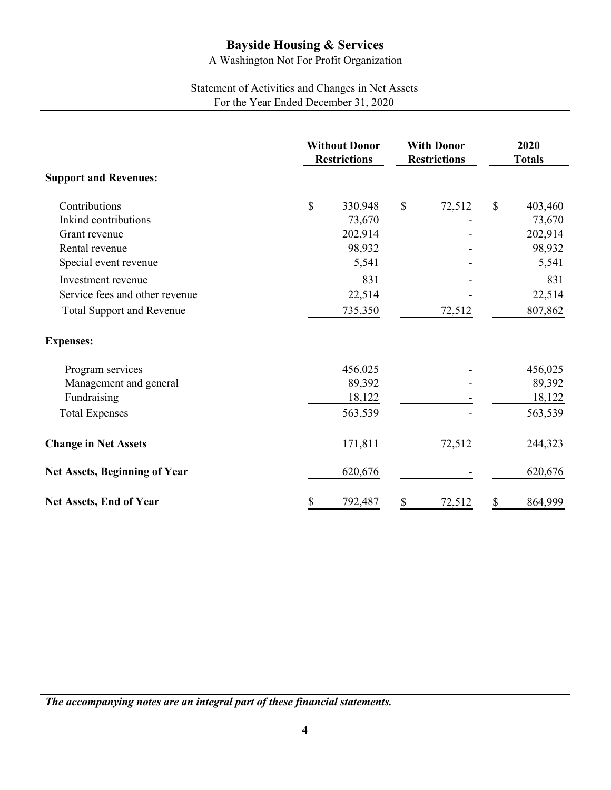A Washington Not For Profit Organization

# Statement of Activities and Changes in Net Assets For the Year Ended December 31, 2020

|                                      | <b>Without Donor</b><br><b>Restrictions</b> |         | <b>With Donor</b><br><b>Restrictions</b> |        | 2020<br><b>Totals</b> |         |
|--------------------------------------|---------------------------------------------|---------|------------------------------------------|--------|-----------------------|---------|
| <b>Support and Revenues:</b>         |                                             |         |                                          |        |                       |         |
| Contributions                        | $\mathbb{S}$                                | 330,948 | $\mathcal{S}$                            | 72,512 | \$                    | 403,460 |
| Inkind contributions                 |                                             | 73,670  |                                          |        |                       | 73,670  |
| Grant revenue                        |                                             | 202,914 |                                          |        |                       | 202,914 |
| Rental revenue                       |                                             | 98,932  |                                          |        |                       | 98,932  |
| Special event revenue                |                                             | 5,541   |                                          |        |                       | 5,541   |
| Investment revenue                   |                                             | 831     |                                          |        |                       | 831     |
| Service fees and other revenue       |                                             | 22,514  |                                          |        |                       | 22,514  |
| <b>Total Support and Revenue</b>     |                                             | 735,350 |                                          | 72,512 |                       | 807,862 |
| <b>Expenses:</b>                     |                                             |         |                                          |        |                       |         |
| Program services                     |                                             | 456,025 |                                          |        |                       | 456,025 |
| Management and general               |                                             | 89,392  |                                          |        |                       | 89,392  |
| Fundraising                          |                                             | 18,122  |                                          |        |                       | 18,122  |
| <b>Total Expenses</b>                |                                             | 563,539 |                                          |        |                       | 563,539 |
| <b>Change in Net Assets</b>          |                                             | 171,811 |                                          | 72,512 |                       | 244,323 |
| <b>Net Assets, Beginning of Year</b> |                                             | 620,676 |                                          |        |                       | 620,676 |
| <b>Net Assets, End of Year</b>       | \$                                          | 792,487 | $\$$                                     | 72,512 | \$                    | 864,999 |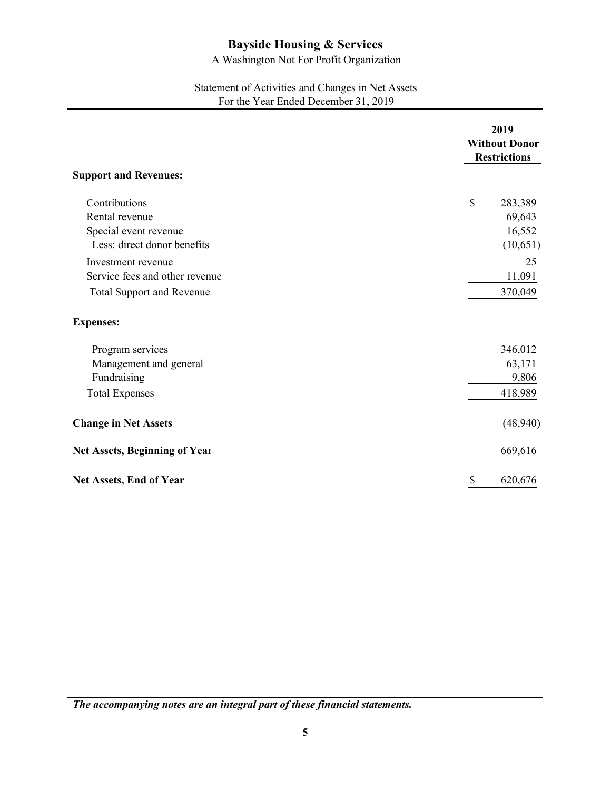A Washington Not For Profit Organization

### Statement of Activities and Changes in Net Assets For the Year Ended December 31, 2019

|                                                                                          | 2019<br><b>Without Donor</b><br><b>Restrictions</b> |
|------------------------------------------------------------------------------------------|-----------------------------------------------------|
| <b>Support and Revenues:</b>                                                             |                                                     |
| Contributions<br>Rental revenue<br>Special event revenue<br>Less: direct donor benefits  | \$<br>283,389<br>69,643<br>16,552<br>(10,651)       |
| Investment revenue<br>Service fees and other revenue<br><b>Total Support and Revenue</b> | 25<br>11,091<br>370,049                             |
| <b>Expenses:</b>                                                                         |                                                     |
| Program services<br>Management and general<br>Fundraising<br><b>Total Expenses</b>       | 346,012<br>63,171<br>9,806<br>418,989               |
| <b>Change in Net Assets</b>                                                              | (48,940)                                            |
| Net Assets, Beginning of Year                                                            | 669,616                                             |
| Net Assets, End of Year                                                                  | \$<br>620,676                                       |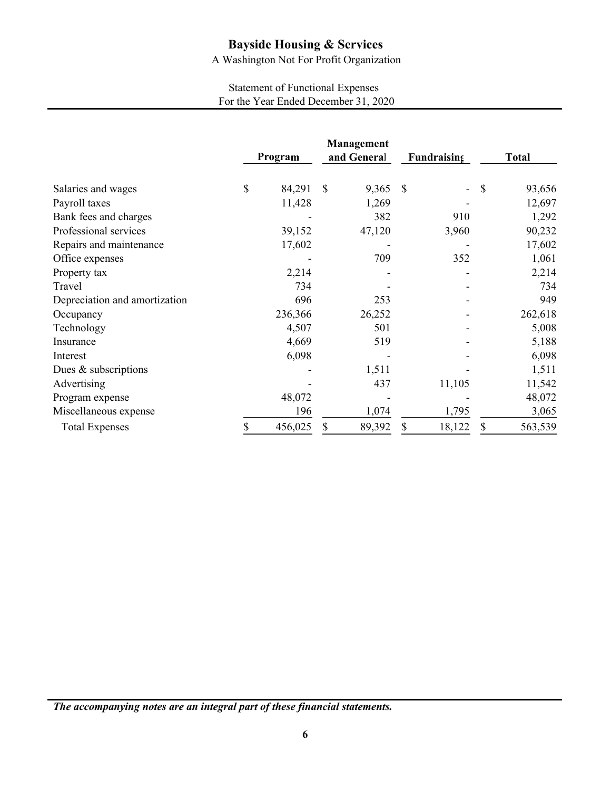A Washington Not For Profit Organization

# Statement of Functional Expenses For the Year Ended December 31, 2020

|                               | Program      | Management<br>and General |               | Fundraising | <b>Total</b>  |
|-------------------------------|--------------|---------------------------|---------------|-------------|---------------|
| Salaries and wages            | \$<br>84,291 | \$<br>9,365               | <sup>\$</sup> | -           | \$<br>93,656  |
| Payroll taxes                 | 11,428       | 1,269                     |               |             | 12,697        |
| Bank fees and charges         |              | 382                       |               | 910         | 1,292         |
| Professional services         | 39,152       | 47,120                    |               | 3,960       | 90,232        |
| Repairs and maintenance       | 17,602       |                           |               |             | 17,602        |
| Office expenses               |              | 709                       |               | 352         | 1,061         |
| Property tax                  | 2,214        |                           |               |             | 2,214         |
| Travel                        | 734          |                           |               |             | 734           |
| Depreciation and amortization | 696          | 253                       |               |             | 949           |
| Occupancy                     | 236,366      | 26,252                    |               |             | 262,618       |
| Technology                    | 4,507        | 501                       |               |             | 5,008         |
| Insurance                     | 4,669        | 519                       |               |             | 5,188         |
| Interest                      | 6,098        |                           |               |             | 6,098         |
| Dues & subscriptions          |              | 1,511                     |               |             | 1,511         |
| Advertising                   |              | 437                       |               | 11,105      | 11,542        |
| Program expense               | 48,072       |                           |               |             | 48,072        |
| Miscellaneous expense         | 196          | 1,074                     |               | 1,795       | 3,065         |
| <b>Total Expenses</b>         | 456,025      | \$<br>89,392              | \$            | 18,122      | \$<br>563,539 |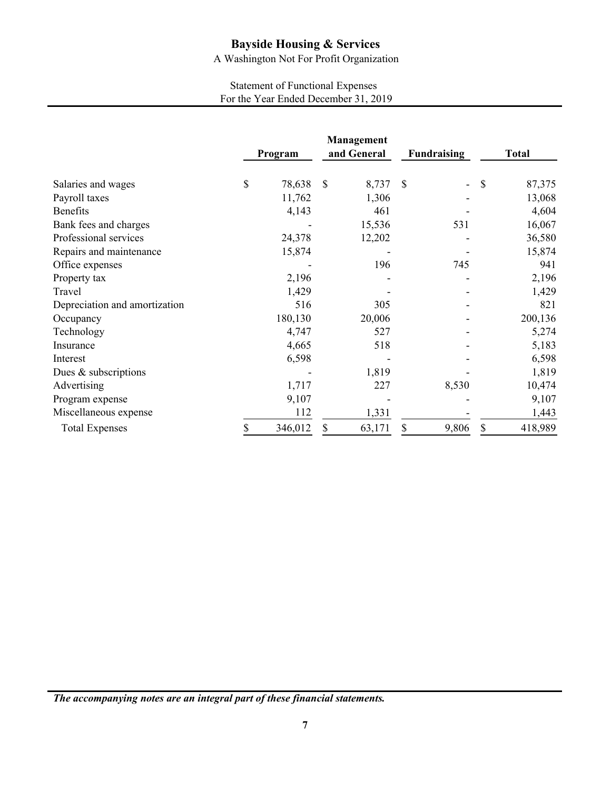A Washington Not For Profit Organization

# Statement of Functional Expenses For the Year Ended December 31, 2019

|                               | Program      |               | Management<br>and General | <b>Fundraising</b> |               | <b>Total</b> |
|-------------------------------|--------------|---------------|---------------------------|--------------------|---------------|--------------|
| Salaries and wages            | \$<br>78,638 | $\mathcal{S}$ | 8,737                     | $\mathcal{S}$<br>- | $\mathcal{S}$ | 87,375       |
| Payroll taxes                 | 11,762       |               | 1,306                     |                    |               | 13,068       |
| <b>Benefits</b>               | 4,143        |               | 461                       |                    |               | 4,604        |
| Bank fees and charges         |              |               | 15,536                    | 531                |               | 16,067       |
| Professional services         | 24,378       |               | 12,202                    |                    |               | 36,580       |
| Repairs and maintenance       | 15,874       |               |                           |                    |               | 15,874       |
| Office expenses               |              |               | 196                       | 745                |               | 941          |
| Property tax                  | 2,196        |               |                           |                    |               | 2,196        |
| Travel                        | 1,429        |               |                           |                    |               | 1,429        |
| Depreciation and amortization | 516          |               | 305                       |                    |               | 821          |
| Occupancy                     | 180,130      |               | 20,006                    |                    |               | 200,136      |
| Technology                    | 4,747        |               | 527                       |                    |               | 5,274        |
| Insurance                     | 4,665        |               | 518                       |                    |               | 5,183        |
| Interest                      | 6,598        |               |                           |                    |               | 6,598        |
| Dues & subscriptions          |              |               | 1,819                     |                    |               | 1,819        |
| Advertising                   | 1,717        |               | 227                       | 8,530              |               | 10,474       |
| Program expense               | 9,107        |               |                           |                    |               | 9,107        |
| Miscellaneous expense         | 112          |               | 1,331                     |                    |               | 1,443        |
| <b>Total Expenses</b>         | 346,012      | \$            | 63,171                    | \$<br>9,806        | \$            | 418,989      |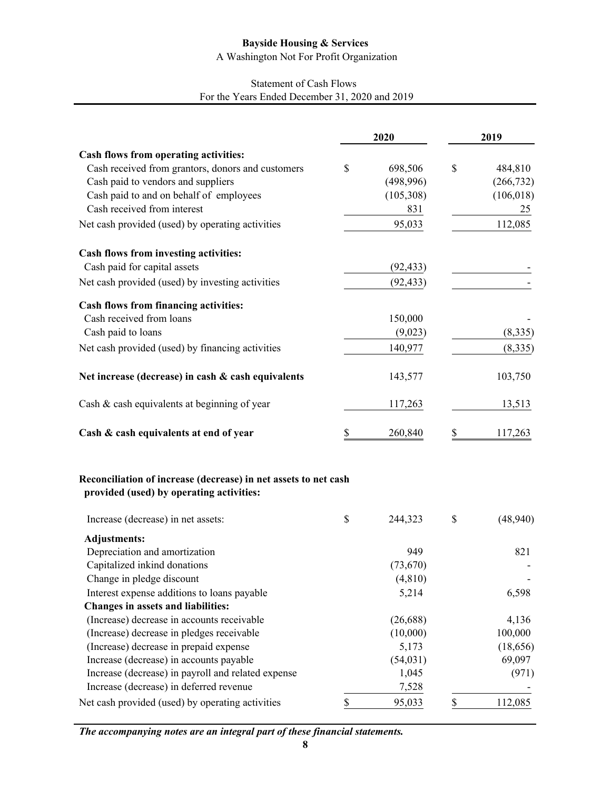A Washington Not For Profit Organization

# Statement of Cash Flows For the Years Ended December 31, 2020 and 2019

|                                                                                                             | 2020          | 2019           |
|-------------------------------------------------------------------------------------------------------------|---------------|----------------|
| Cash flows from operating activities:                                                                       |               |                |
| Cash received from grantors, donors and customers                                                           | \$<br>698,506 | \$<br>484,810  |
| Cash paid to vendors and suppliers                                                                          | (498, 996)    | (266, 732)     |
| Cash paid to and on behalf of employees                                                                     | (105,308)     | (106, 018)     |
| Cash received from interest                                                                                 | 831           | 25             |
| Net cash provided (used) by operating activities                                                            | 95,033        | 112,085        |
| Cash flows from investing activities:                                                                       |               |                |
| Cash paid for capital assets                                                                                | (92, 433)     |                |
| Net cash provided (used) by investing activities                                                            | (92, 433)     |                |
| <b>Cash flows from financing activities:</b>                                                                |               |                |
| Cash received from loans                                                                                    | 150,000       |                |
| Cash paid to loans                                                                                          | (9,023)       | (8, 335)       |
| Net cash provided (used) by financing activities                                                            | 140,977       | (8, 335)       |
| Net increase (decrease) in cash & cash equivalents                                                          | 143,577       | 103,750        |
| Cash & cash equivalents at beginning of year                                                                | 117,263       | 13,513         |
| Cash & cash equivalents at end of year                                                                      | \$<br>260,840 | \$<br>117,263  |
| Reconciliation of increase (decrease) in net assets to net cash<br>provided (used) by operating activities: |               |                |
| Increase (decrease) in net assets:                                                                          | \$<br>244,323 | \$<br>(48,940) |
| <b>Adjustments:</b>                                                                                         |               |                |
| Depreciation and amortization                                                                               | 949           | 821            |
| Capitalized inkind donations                                                                                | (73, 670)     |                |
| Change in pledge discount                                                                                   | (4, 810)      |                |
| Interest expense additions to loans payable                                                                 | 5,214         | 6,598          |
| Changes in assets and liabilities:                                                                          |               |                |
| (Increase) decrease in accounts receivable                                                                  | (26, 688)     | 4,136          |
| (Increase) decrease in pledges receivable                                                                   | (10,000)      | 100,000        |
| (Increase) decrease in prepaid expense                                                                      | 5,173         | (18, 656)      |
| Increase (decrease) in accounts payable                                                                     | (54, 031)     | 69,097         |
| Increase (decrease) in payroll and related expense                                                          | 1,045         | (971)          |
| Increase (decrease) in deferred revenue                                                                     | 7,528         |                |
| Net cash provided (used) by operating activities                                                            | \$<br>95,033  | \$<br>112,085  |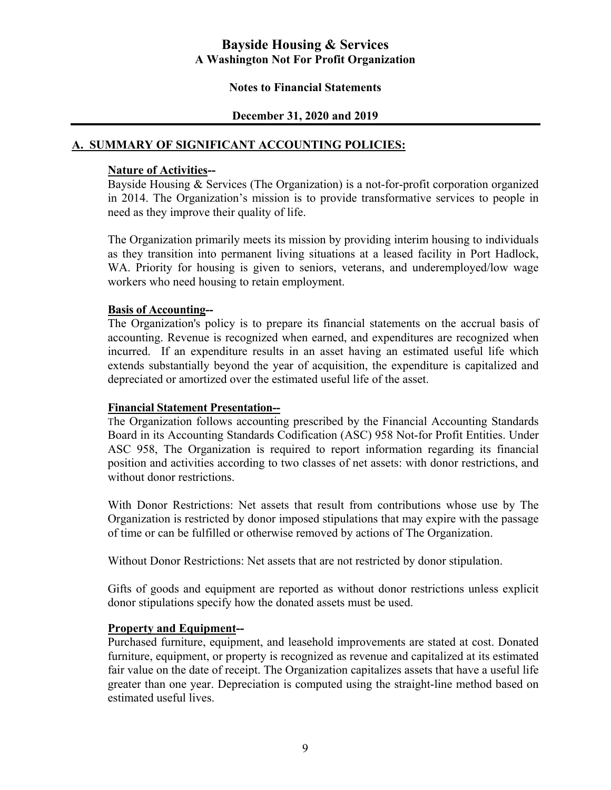#### **Notes to Financial Statements**

### **December 31, 2020 and 2019**

# **A. SUMMARY OF SIGNIFICANT ACCOUNTING POLICIES:**

#### **Nature of Activities--**

 Bayside Housing & Services (The Organization) is a not-for-profit corporation organized in 2014. The Organization's mission is to provide transformative services to people in need as they improve their quality of life.

 The Organization primarily meets its mission by providing interim housing to individuals as they transition into permanent living situations at a leased facility in Port Hadlock, WA. Priority for housing is given to seniors, veterans, and underemployed/low wage workers who need housing to retain employment.

## **Basis of Accounting--**

 The Organization's policy is to prepare its financial statements on the accrual basis of accounting. Revenue is recognized when earned, and expenditures are recognized when incurred. If an expenditure results in an asset having an estimated useful life which extends substantially beyond the year of acquisition, the expenditure is capitalized and depreciated or amortized over the estimated useful life of the asset.

#### **Financial Statement Presentation--**

 The Organization follows accounting prescribed by the Financial Accounting Standards Board in its Accounting Standards Codification (ASC) 958 Not-for Profit Entities. Under ASC 958, The Organization is required to report information regarding its financial position and activities according to two classes of net assets: with donor restrictions, and without donor restrictions.

 With Donor Restrictions: Net assets that result from contributions whose use by The Organization is restricted by donor imposed stipulations that may expire with the passage of time or can be fulfilled or otherwise removed by actions of The Organization.

Without Donor Restrictions: Net assets that are not restricted by donor stipulation.

 Gifts of goods and equipment are reported as without donor restrictions unless explicit donor stipulations specify how the donated assets must be used.

#### **Property and Equipment--**

 Purchased furniture, equipment, and leasehold improvements are stated at cost. Donated furniture, equipment, or property is recognized as revenue and capitalized at its estimated fair value on the date of receipt. The Organization capitalizes assets that have a useful life greater than one year. Depreciation is computed using the straight-line method based on estimated useful lives.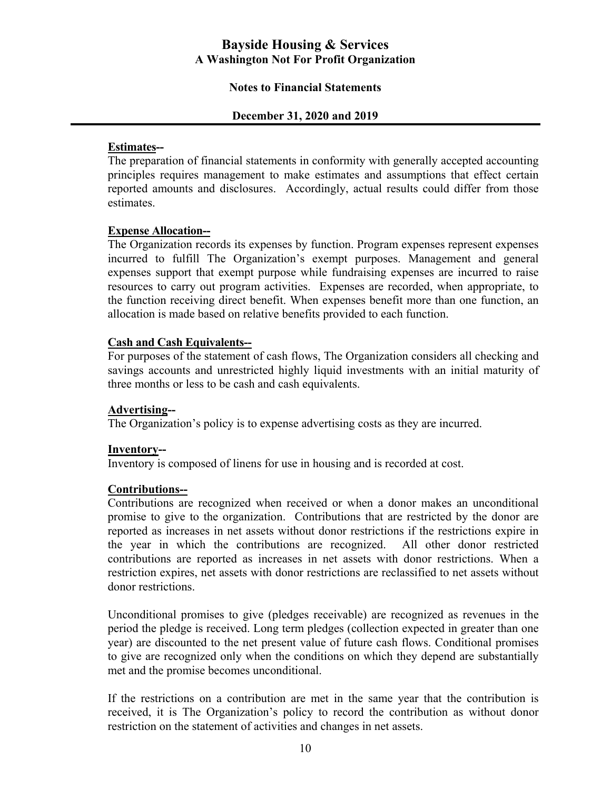#### **Notes to Financial Statements**

#### **December 31, 2020 and 2019**

#### **Estimates--**

 The preparation of financial statements in conformity with generally accepted accounting principles requires management to make estimates and assumptions that effect certain reported amounts and disclosures. Accordingly, actual results could differ from those estimates.

#### **Expense Allocation--**

 The Organization records its expenses by function. Program expenses represent expenses incurred to fulfill The Organization's exempt purposes. Management and general expenses support that exempt purpose while fundraising expenses are incurred to raise resources to carry out program activities. Expenses are recorded, when appropriate, to the function receiving direct benefit. When expenses benefit more than one function, an allocation is made based on relative benefits provided to each function.

#### **Cash and Cash Equivalents--**

 For purposes of the statement of cash flows, The Organization considers all checking and savings accounts and unrestricted highly liquid investments with an initial maturity of three months or less to be cash and cash equivalents.

#### **Advertising--**

The Organization's policy is to expense advertising costs as they are incurred.

#### **Inventory--**

Inventory is composed of linens for use in housing and is recorded at cost.

#### **Contributions--**

 Contributions are recognized when received or when a donor makes an unconditional promise to give to the organization. Contributions that are restricted by the donor are reported as increases in net assets without donor restrictions if the restrictions expire in the year in which the contributions are recognized. All other donor restricted contributions are reported as increases in net assets with donor restrictions. When a restriction expires, net assets with donor restrictions are reclassified to net assets without donor restrictions.

 Unconditional promises to give (pledges receivable) are recognized as revenues in the period the pledge is received. Long term pledges (collection expected in greater than one year) are discounted to the net present value of future cash flows. Conditional promises to give are recognized only when the conditions on which they depend are substantially met and the promise becomes unconditional.

 If the restrictions on a contribution are met in the same year that the contribution is received, it is The Organization's policy to record the contribution as without donor restriction on the statement of activities and changes in net assets.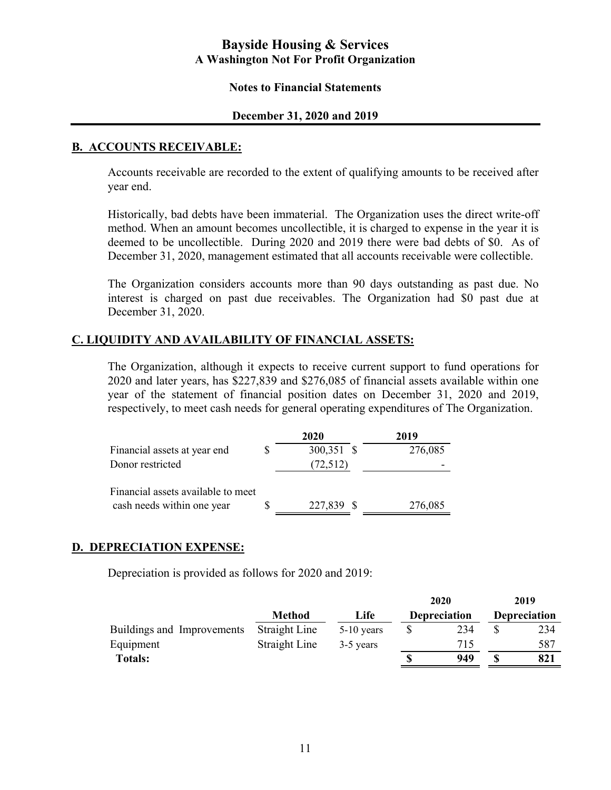#### **Notes to Financial Statements**

#### **December 31, 2020 and 2019**

#### **B. ACCOUNTS RECEIVABLE:**

Accounts receivable are recorded to the extent of qualifying amounts to be received after year end.

Historically, bad debts have been immaterial. The Organization uses the direct write-off method. When an amount becomes uncollectible, it is charged to expense in the year it is deemed to be uncollectible. During 2020 and 2019 there were bad debts of \$0. As of December 31, 2020, management estimated that all accounts receivable were collectible.

The Organization considers accounts more than 90 days outstanding as past due. No interest is charged on past due receivables. The Organization had \$0 past due at December 31, 2020.

# **C. LIQUIDITY AND AVAILABILITY OF FINANCIAL ASSETS:**

 The Organization, although it expects to receive current support to fund operations for 2020 and later years, has \$227,839 and \$276,085 of financial assets available within one year of the statement of financial position dates on December 31, 2020 and 2019, respectively, to meet cash needs for general operating expenditures of The Organization.

|                                                                  | 2020       | 2019    |
|------------------------------------------------------------------|------------|---------|
| Financial assets at year end                                     | 300,351 \$ | 276,085 |
| Donor restricted                                                 | (72, 512)  |         |
| Financial assets available to meet<br>cash needs within one year | 227,839 \$ | 276,085 |

# **D. DEPRECIATION EXPENSE:**

Depreciation is provided as follows for 2020 and 2019:

|                            |               |              | 2020                | 2019                |
|----------------------------|---------------|--------------|---------------------|---------------------|
|                            | <b>Method</b> | Life         | <b>Depreciation</b> | <b>Depreciation</b> |
| Buildings and Improvements | Straight Line | $5-10$ years | 234                 | 234                 |
| Equipment                  | Straight Line | 3-5 years    | 715                 | 587                 |
| <b>Totals:</b>             |               |              | 949                 | 821                 |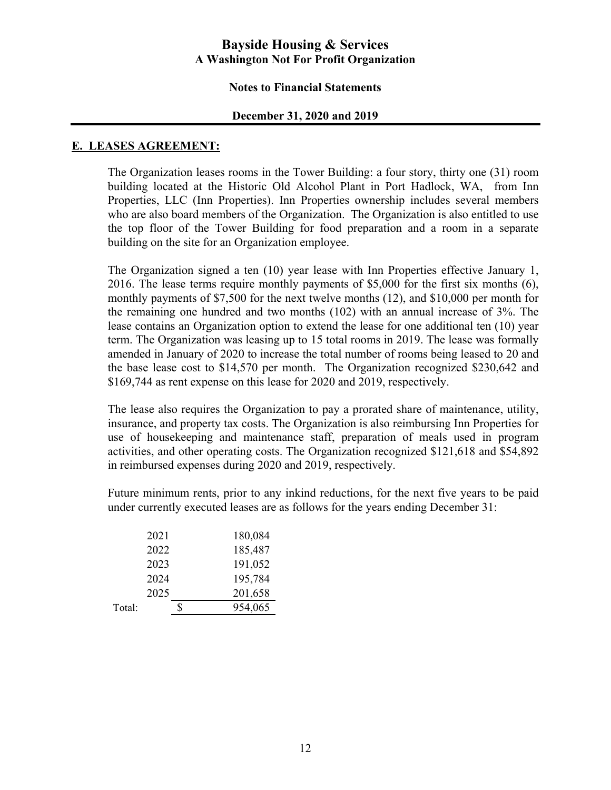#### **Notes to Financial Statements**

#### **December 31, 2020 and 2019**

#### **E. LEASES AGREEMENT:**

The Organization leases rooms in the Tower Building: a four story, thirty one (31) room building located at the Historic Old Alcohol Plant in Port Hadlock, WA, from Inn Properties, LLC (Inn Properties). Inn Properties ownership includes several members who are also board members of the Organization. The Organization is also entitled to use the top floor of the Tower Building for food preparation and a room in a separate building on the site for an Organization employee.

The Organization signed a ten (10) year lease with Inn Properties effective January 1, 2016. The lease terms require monthly payments of \$5,000 for the first six months (6), monthly payments of \$7,500 for the next twelve months (12), and \$10,000 per month for the remaining one hundred and two months (102) with an annual increase of 3%. The lease contains an Organization option to extend the lease for one additional ten (10) year term. The Organization was leasing up to 15 total rooms in 2019. The lease was formally amended in January of 2020 to increase the total number of rooms being leased to 20 and the base lease cost to \$14,570 per month. The Organization recognized \$230,642 and \$169,744 as rent expense on this lease for 2020 and 2019, respectively.

The lease also requires the Organization to pay a prorated share of maintenance, utility, insurance, and property tax costs. The Organization is also reimbursing Inn Properties for use of housekeeping and maintenance staff, preparation of meals used in program activities, and other operating costs. The Organization recognized \$121,618 and \$54,892 in reimbursed expenses during 2020 and 2019, respectively.

Future minimum rents, prior to any inkind reductions, for the next five years to be paid under currently executed leases are as follows for the years ending December 31:

|        | 2021 | 180,084 |
|--------|------|---------|
|        | 2022 | 185,487 |
|        | 2023 | 191,052 |
|        | 2024 | 195,784 |
|        | 2025 | 201,658 |
| Total: |      | 954,065 |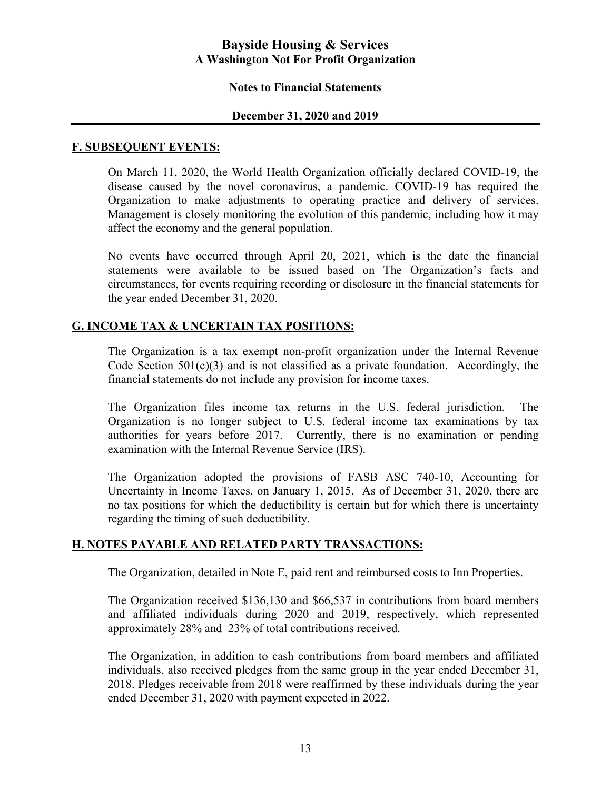#### **Notes to Financial Statements**

#### **December 31, 2020 and 2019**

#### **F. SUBSEQUENT EVENTS:**

On March 11, 2020, the World Health Organization officially declared COVID-19, the disease caused by the novel coronavirus, a pandemic. COVID-19 has required the Organization to make adjustments to operating practice and delivery of services. Management is closely monitoring the evolution of this pandemic, including how it may affect the economy and the general population.

No events have occurred through April 20, 2021, which is the date the financial statements were available to be issued based on The Organization's facts and circumstances, for events requiring recording or disclosure in the financial statements for the year ended December 31, 2020.

#### **G. INCOME TAX & UNCERTAIN TAX POSITIONS:**

The Organization is a tax exempt non-profit organization under the Internal Revenue Code Section  $501(c)(3)$  and is not classified as a private foundation. Accordingly, the financial statements do not include any provision for income taxes.

The Organization files income tax returns in the U.S. federal jurisdiction. The Organization is no longer subject to U.S. federal income tax examinations by tax authorities for years before 2017. Currently, there is no examination or pending examination with the Internal Revenue Service (IRS).

The Organization adopted the provisions of FASB ASC 740-10, Accounting for Uncertainty in Income Taxes, on January 1, 2015. As of December 31, 2020, there are no tax positions for which the deductibility is certain but for which there is uncertainty regarding the timing of such deductibility.

#### **H. NOTES PAYABLE AND RELATED PARTY TRANSACTIONS:**

The Organization, detailed in Note E, paid rent and reimbursed costs to Inn Properties.

The Organization received \$136,130 and \$66,537 in contributions from board members and affiliated individuals during 2020 and 2019, respectively, which represented approximately 28% and 23% of total contributions received.

The Organization, in addition to cash contributions from board members and affiliated individuals, also received pledges from the same group in the year ended December 31, 2018. Pledges receivable from 2018 were reaffirmed by these individuals during the year ended December 31, 2020 with payment expected in 2022.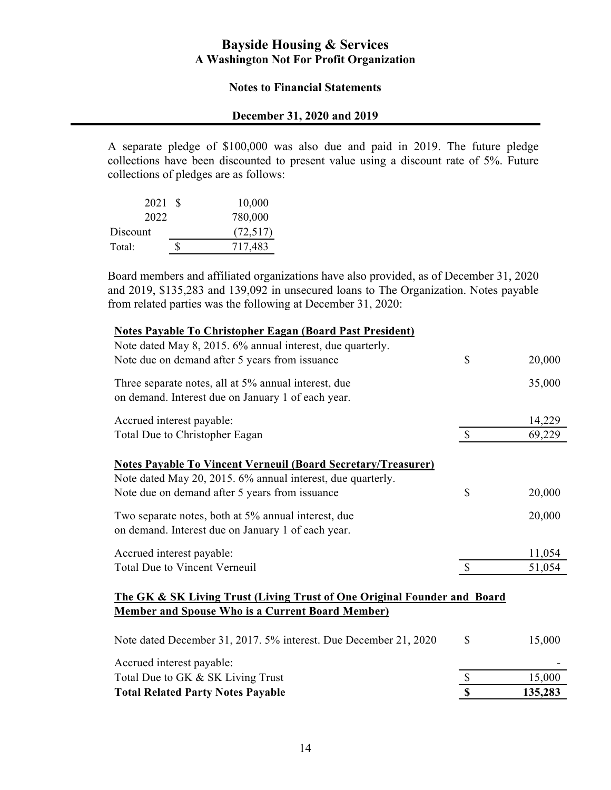#### **Notes to Financial Statements**

### **December 31, 2020 and 2019**

A separate pledge of \$100,000 was also due and paid in 2019. The future pledge collections have been discounted to present value using a discount rate of 5%. Future collections of pledges are as follows:

| 2021 S | 10,000    |
|--------|-----------|
|        | 780,000   |
|        | (72, 517) |
|        | 717,483   |
|        |           |

Board members and affiliated organizations have also provided, as of December 31, 2020 and 2019, \$135,283 and 139,092 in unsecured loans to The Organization. Notes payable from related parties was the following at December 31, 2020:

| Note dated May 8, 2015. 6% annual interest, due quarterly.<br>Note due on demand after 5 years from issuance                                                                          | \$            | 20,000 |
|---------------------------------------------------------------------------------------------------------------------------------------------------------------------------------------|---------------|--------|
| Three separate notes, all at 5% annual interest, due<br>on demand. Interest due on January 1 of each year.                                                                            |               | 35,000 |
| Accrued interest payable:                                                                                                                                                             |               | 14,229 |
| Total Due to Christopher Eagan                                                                                                                                                        | $\mathcal{S}$ | 69,229 |
| <b>Notes Payable To Vincent Verneuil (Board Secretary/Treasurer)</b><br>Note dated May 20, 2015. 6% annual interest, due quarterly.<br>Note due on demand after 5 years from issuance | \$            | 20,000 |
| Two separate notes, both at 5% annual interest, due<br>on demand. Interest due on January 1 of each year.                                                                             |               | 20,000 |
| Accrued interest payable:                                                                                                                                                             |               | 11,054 |
| Total Due to Vincent Verneuil                                                                                                                                                         | $\mathcal{S}$ | 51,054 |
| The GK & SK Living Trust (Living Trust of One Original Founder and Board<br><b>Member and Spouse Who is a Current Board Member)</b>                                                   |               |        |
| Note dated December 31, 2017. 5% interest. Due December 21, 2020                                                                                                                      | \$            | 15,000 |
| Accrued interest payable:                                                                                                                                                             |               |        |
| Total Due to GK & SK Living Trust                                                                                                                                                     | $\mathbb{S}$  | 15,000 |

Total Related Party Notes Payable **135,283**